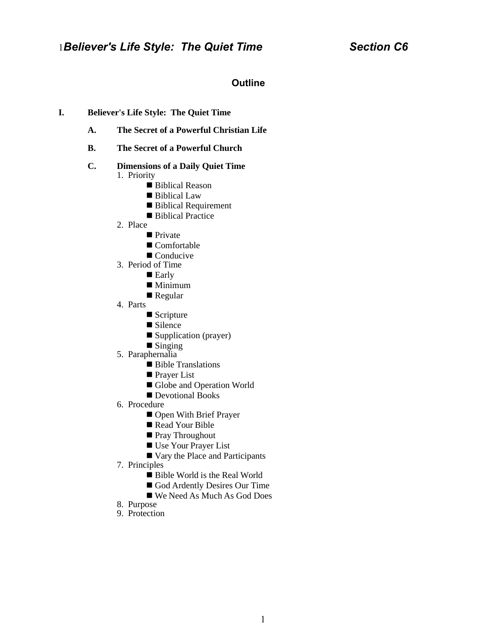# **Outline**

## **I. Believer's Life Style: The Quiet Time**

- **A. The Secret of a Powerful Christian Life**
- **B. The Secret of a Powerful Church**

#### **C. Dimensions of a Daily Quiet Time** 1. Priority

- Biblical Reason
	-
	- Biblical Law
	- **Biblical Requirement**
	- **Biblical Practice**
- 2. Place
	- **Private**
	- Comfortable
	- Conducive
- 3. Period of Time
	- Early
	- Minimum
	- Regular
- 4. Parts
	- Scripture
	- Silence
	- Supplication (prayer)
	- $\blacksquare$  Singing
- 5. Paraphernalia
	- Bible Translations
	- **Prayer List**
	- Globe and Operation World
	- Devotional Books
- 6. Procedure
	- Open With Brief Prayer
	- Read Your Bible
	- Pray Throughout
	- Use Your Prayer List
	- Vary the Place and Participants
- 7. Principles
	- Bible World is the Real World
	- God Ardently Desires Our Time
	- We Need As Much As God Does
- 8. Purpose
- 9. Protection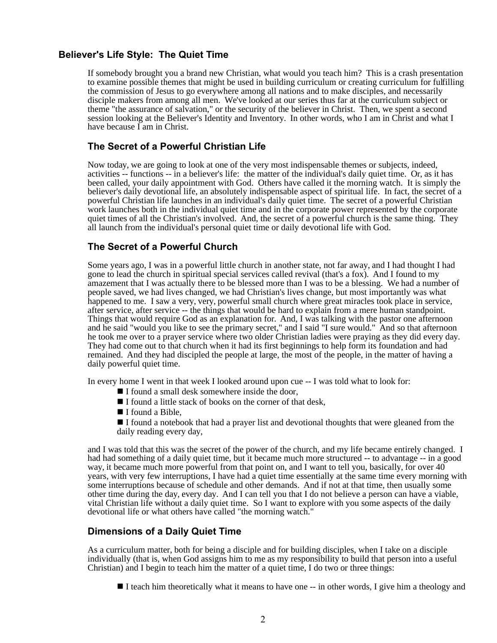## **Believer's Life Style: The Quiet Time**

If somebody brought you a brand new Christian, what would you teach him? This is a crash presentation to examine possible themes that might be used in building curriculum or creating curriculum for fulfilling the commission of Jesus to go everywhere among all nations and to make disciples, and necessarily disciple makers from among all men. We've looked at our series thus far at the curriculum subject or theme "the assurance of salvation," or the security of the believer in Christ. Then, we spent a second session looking at the Believer's Identity and Inventory. In other words, who I am in Christ and what I have because I am in Christ.

## **The Secret of a Powerful Christian Life**

Now today, we are going to look at one of the very most indispensable themes or subjects, indeed, activities -- functions -- in a believer's life: the matter of the individual's daily quiet time. Or, as it has been called, your daily appointment with God. Others have called it the morning watch. It is simply the believer's daily devotional life, an absolutely indispensable aspect of spiritual life. In fact, the secret of a powerful Christian life launches in an individual's daily quiet time. The secret of a powerful Christian work launches both in the individual quiet time and in the corporate power represented by the corporate quiet times of all the Christian's involved. And, the secret of a powerful church is the same thing. They all launch from the individual's personal quiet time or daily devotional life with God.

## **The Secret of a Powerful Church**

Some years ago, I was in a powerful little church in another state, not far away, and I had thought I had gone to lead the church in spiritual special services called revival (that's a fox). And I found to my amazement that I was actually there to be blessed more than I was to be a blessing. We had a number of people saved, we had lives changed, we had Christian's lives change, but most importantly was what happened to me. I saw a very, very, powerful small church where great miracles took place in service, after service, after service -- the things that would be hard to explain from a mere human standpoint. Things that would require God as an explanation for. And, I was talking with the pastor one afternoon and he said "would you like to see the primary secret," and I said "I sure would." And so that afternoon he took me over to a prayer service where two older Christian ladies were praying as they did every day. They had come out to that church when it had its first beginnings to help form its foundation and had remained. And they had discipled the people at large, the most of the people, in the matter of having a daily powerful quiet time.

In every home I went in that week I looked around upon cue -- I was told what to look for:

- $\blacksquare$  I found a small desk somewhere inside the door,
- I found a little stack of books on the corner of that desk,
- $\blacksquare$  I found a Bible.

I found a notebook that had a prayer list and devotional thoughts that were gleaned from the daily reading every day,

and I was told that this was the secret of the power of the church, and my life became entirely changed. I had had something of a daily quiet time, but it became much more structured -- to advantage -- in a good way, it became much more powerful from that point on, and I want to tell you, basically, for over 40 years, with very few interruptions, I have had a quiet time essentially at the same time every morning with some interruptions because of schedule and other demands. And if not at that time, then usually some other time during the day, every day. And I can tell you that I do not believe a person can have a viable, vital Christian life without a daily quiet time. So I want to explore with you some aspects of the daily devotional life or what others have called "the morning watch."

## **Dimensions of a Daily Quiet Time**

As a curriculum matter, both for being a disciple and for building disciples, when I take on a disciple individually (that is, when God assigns him to me as my responsibility to build that person into a useful Christian) and I begin to teach him the matter of a quiet time, I do two or three things:

I teach him theoretically what it means to have one -- in other words, I give him a theology and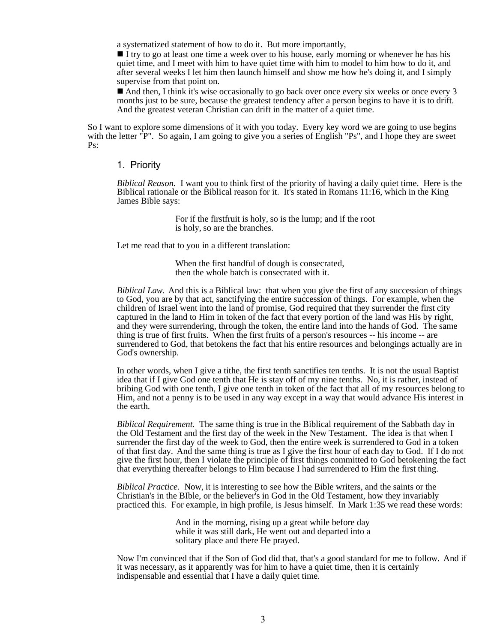a systematized statement of how to do it. But more importantly,

I try to go at least one time a week over to his house, early morning or whenever he has his quiet time, and I meet with him to have quiet time with him to model to him how to do it, and after several weeks I let him then launch himself and show me how he's doing it, and I simply supervise from that point on.

 $\blacksquare$  And then, I think it's wise occasionally to go back over once every six weeks or once every 3 months just to be sure, because the greatest tendency after a person begins to have it is to drift. And the greatest veteran Christian can drift in the matter of a quiet time.

So I want to explore some dimensions of it with you today. Every key word we are going to use begins with the letter "P". So again, I am going to give you a series of English "Ps", and I hope they are sweet Ps:

### 1. Priority

*Biblical Reason.* I want you to think first of the priority of having a daily quiet time. Here is the Biblical rationale or the Biblical reason for it. It's stated in Romans  $11:16$ , which in the King James Bible says:

> For if the firstfruit is holy, so is the lump; and if the root is holy, so are the branches.

Let me read that to you in a different translation:

When the first handful of dough is consecrated, then the whole batch is consecrated with it.

*Biblical Law.* And this is a Biblical law: that when you give the first of any succession of things to God, you are by that act, sanctifying the entire succession of things. For example, when the children of Israel went into the land of promise, God required that they surrender the first city captured in the land to Him in token of the fact that every portion of the land was His by right, and they were surrendering, through the token, the entire land into the hands of God. The same thing is true of first fruits. When the first fruits of a person's resources -- his income -- are surrendered to God, that betokens the fact that his entire resources and belongings actually are in God's ownership.

In other words, when I give a tithe, the first tenth sanctifies ten tenths. It is not the usual Baptist idea that if I give God one tenth that He is stay off of my nine tenths. No, it is rather, instead of bribing God with one tenth, I give one tenth in token of the fact that all of my resources belong to Him, and not a penny is to be used in any way except in a way that would advance His interest in the earth.

*Biblical Requirement.* The same thing is true in the Biblical requirement of the Sabbath day in the Old Testament and the first day of the week in the New Testament. The idea is that when I surrender the first day of the week to God, then the entire week is surrendered to God in a token of that first day. And the same thing is true as I give the first hour of each day to God. If I do not give the first hour, then I violate the principle of first things committed to God betokening the fact that everything thereafter belongs to Him because I had surrendered to Him the first thing.

*Biblical Practice.* Now, it is interesting to see how the Bible writers, and the saints or the Christian's in the BIble, or the believer's in God in the Old Testament, how they invariably practiced this. For example, in high profile, is Jesus himself. In Mark 1:35 we read these words:

> And in the morning, rising up a great while before day while it was still dark, He went out and departed into a solitary place and there He prayed.

Now I'm convinced that if the Son of God did that, that's a good standard for me to follow. And if it was necessary, as it apparently was for him to have a quiet time, then it is certainly indispensable and essential that I have a daily quiet time.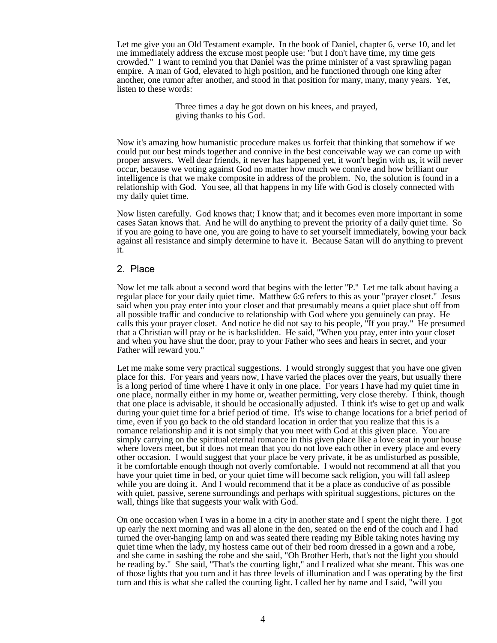Let me give you an Old Testament example. In the book of Daniel, chapter 6, verse 10, and let me immediately address the excuse most people use: "but I don't have time, my time gets crowded." I want to remind you that Daniel was the prime minister of a vast sprawling pagan empire. A man of God, elevated to high position, and he functioned through one king after another, one rumor after another, and stood in that position for many, many, many years. Yet, listen to these words:

> Three times a day he got down on his knees, and prayed, giving thanks to his God.

Now it's amazing how humanistic procedure makes us forfeit that thinking that somehow if we could put our best minds together and connive in the best conceivable way we can come up with proper answers. Well dear friends, it never has happened yet, it won't begin with us, it will never occur, because we voting against God no matter how much we connive and how brilliant our intelligence is that we make composite in address of the problem. No, the solution is found in a relationship with God. You see, all that happens in my life with God is closely connected with my daily quiet time.

Now listen carefully. God knows that; I know that; and it becomes even more important in some cases Satan knows that. And he will do anything to prevent the priority of a daily quiet time. So if you are going to have one, you are going to have to set yourself immediately, bowing your back against all resistance and simply determine to have it. Because Satan will do anything to prevent it.

#### 2. Place

Now let me talk about a second word that begins with the letter "P." Let me talk about having a regular place for your daily quiet time. Matthew 6:6 refers to this as your "prayer closet." Jesus said when you pray enter into your closet and that presumably means a quiet place shut off from all possible traffic and conducive to relationship with God where you genuinely can pray. He calls this your prayer closet. And notice he did not say to his people, "If you pray." He presumed that a Christian will pray or he is backslidden. He said, "When you pray, enter into your closet and when you have shut the door, pray to your Father who sees and hears in secret, and your Father will reward you."

Let me make some very practical suggestions. I would strongly suggest that you have one given place for this. For years and years now, I have varied the places over the years, but usually there is a long period of time where I have it only in one place. For years I have had my quiet time in one place, normally either in my home or, weather permitting, very close thereby. I think, though that one place is advisable, it should be occasionally adjusted. I think it's wise to get up and walk during your quiet time for a brief period of time. It's wise to change locations for a brief period of time, even if you go back to the old standard location in order that you realize that this is a romance relationship and it is not simply that you meet with God at this given place. You are simply carrying on the spiritual eternal romance in this given place like a love seat in your house where lovers meet, but it does not mean that you do not love each other in every place and every other occasion. I would suggest that your place be very private, it be as undisturbed as possible, it be comfortable enough though not overly comfortable. I would not recommend at all that you have your quiet time in bed, or your quiet time will become sack religion, you will fall asleep while you are doing it. And I would recommend that it be a place as conducive of as possible with quiet, passive, serene surroundings and perhaps with spiritual suggestions, pictures on the wall, things like that suggests your walk with God.

On one occasion when I was in a home in a city in another state and I spent the night there. I got up early the next morning and was all alone in the den, seated on the end of the couch and I had turned the over-hanging lamp on and was seated there reading my Bible taking notes having my quiet time when the lady, my hostess came out of their bed room dressed in a gown and a robe, and she came in sashing the robe and she said, "Oh Brother Herb, that's not the light you should be reading by." She said, "That's the courting light," and I realized what she meant. This was one of those lights that you turn and it has three levels of illumination and I was operating by the first turn and this is what she called the courting light. I called her by name and I said, "will you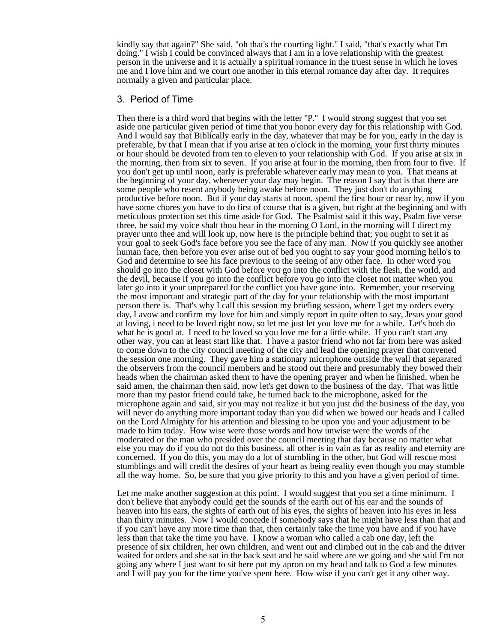kindly say that again?" She said, "oh that's the courting light." I said, "that's exactly what I'm doing." I wish I could be convinced always that I am in a love relationship with the greatest person in the universe and it is actually a spiritual romance in the truest sense in which he loves me and I love him and we court one another in this eternal romance day after day. It requires normally a given and particular place.

### 3. Period of Time

Then there is a third word that begins with the letter "P." I would strong suggest that you set aside one particular given period of time that you honor every day for this relationship with God. And I would say that Biblically early in the day, whatever that may be for you, early in the day is preferable, by that I mean that if you arise at ten o'clock in the morning, your first thirty minutes or hour should be devoted from ten to eleven to your relationship with God. If you arise at six in the morning, then from six to seven. If you arise at four in the morning, then from four to five. If you don't get up until noon, early is preferable whatever early may mean to you. That means at the beginning of your day, whenever your day may begin. The reason I say that is that there are some people who resent anybody being awake before noon. They just don't do anything productive before noon. But if your day starts at noon, spend the first hour or near by, now if you have some chores you have to do first of course that is a given, but right at the beginning and with meticulous protection set this time aside for God. The Psalmist said it this way, Psalm five verse three, he said my voice shalt thou hear in the morning O Lord, in the morning will I direct my prayer unto thee and will look up, now here is the principle behind that; you ought to set it as your goal to seek God's face before you see the face of any man. Now if you quickly see another human face, then before you ever arise out of bed you ought to say your good morning hello's to God and determine to see his face previous to the seeing of any other face. In other word you should go into the closet with God before you go into the conflict with the flesh, the world, and the devil, because if you go into the conflict before you go into the closet not matter when you later go into it your unprepared for the conflict you have gone into. Remember, your reserving the most important and strategic part of the day for your relationship with the most important person there is. That's why I call this session my briefing session, where I get my orders every day, I avow and confirm my love for him and simply report in quite often to say, Jesus your good at loving, i need to be loved right now, so let me just let you love me for a while. Let's both do what he is good at. I need to be loved so you love me for a little while. If you can't start any other way, you can at least start like that. I have a pastor friend who not far from here was asked to come down to the city council meeting of the city and lead the opening prayer that convened the session one morning. They gave him a stationary microphone outside the wall that separated the observers from the council members and he stood out there and presumably they bowed their heads when the chairman asked them to have the opening prayer and when he finished, when he said amen, the chairman then said, now let's get down to the business of the day. That was little more than my pastor friend could take, he turned back to the microphone, asked for the microphone again and said, sir you may not realize it but you just did the business of the day, you will never do anything more important today than you did when we bowed our heads and I called on the Lord Almighty for his attention and blessing to be upon you and your adjustment to be made to him today. How wise were those words and how unwise were the words of the moderated or the man who presided over the council meeting that day because no matter what else you may do if you do not do this business, all other is in vain as far as reality and eternity are concerned. If you do this, you may do a lot of stumbling in the other, but God will rescue most stumblings and will credit the desires of your heart as being reality even though you may stumble all the way home. So, be sure that you give priority to this and you have a given period of time.

Let me make another suggestion at this point. I would suggest that you set a time minimum. I don't believe that anybody could get the sounds of the earth out of his ear and the sounds of heaven into his ears, the sights of earth out of his eyes, the sights of heaven into his eyes in less than thirty minutes. Now I would concede if somebody says that he might have less than that and if you can't have any more time than that, then certainly take the time you have and if you have less than that take the time you have. I know a woman who called a cab one day, left the presence of six children, her own children, and went out and climbed out in the cab and the driver waited for orders and she sat in the back seat and he said where are we going and she said I'm not going any where I just want to sit here put my apron on my head and talk to God a few minutes and I will pay you for the time you've spent here. How wise if you can't get it any other way.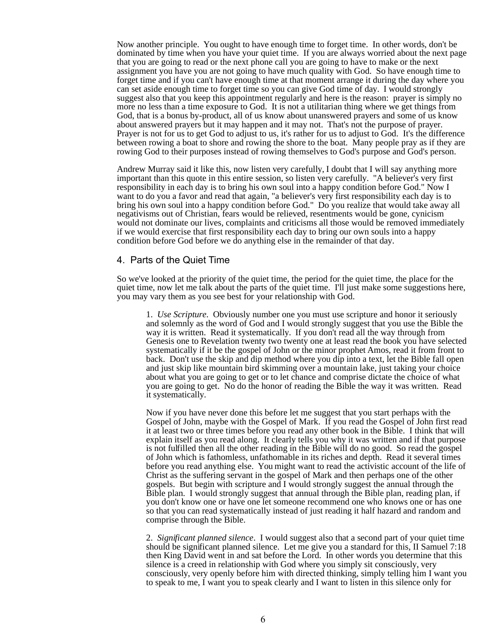Now another principle. You ought to have enough time to forget time. In other words, don't be dominated by time when you have your quiet time. If you are always worried about the next page that you are going to read or the next phone call you are going to have to make or the next assignment you have you are not going to have much quality with God. So have enough time to forget time and if you can't have enough time at that moment arrange it during the day where you can set aside enough time to forget time so you can give God time of day. I would strongly suggest also that you keep this appointment regularly and here is the reason: prayer is simply no more no less than a time exposure to God. It is not a utilitarian thing where we get things from God, that is a bonus by-product, all of us know about unanswered prayers and some of us know about answered prayers but it may happen and it may not. That's not the purpose of prayer. Prayer is not for us to get God to adjust to us, it's rather for us to adjust to God. It's the difference between rowing a boat to shore and rowing the shore to the boat. Many people pray as if they are rowing God to their purposes instead of rowing themselves to God's purpose and God's person.

Andrew Murray said it like this, now listen very carefully, I doubt that I will say anything more important than this quote in this entire session, so listen very carefully. "A believer's very first responsibility in each day is to bring his own soul into a happy condition before God." Now I want to do you a favor and read that again, "a believer's very first responsibility each day is to bring his own soul into a happy condition before God." Do you realize that would take away all negativisms out of Christian, fears would be relieved, resentments would be gone, cynicism would not dominate our lives, complaints and criticisms all those would be removed immediately if we would exercise that first responsibility each day to bring our own souls into a happy condition before God before we do anything else in the remainder of that day.

### 4. Parts of the Quiet Time

So we've looked at the priority of the quiet time, the period for the quiet time, the place for the quiet time, now let me talk about the parts of the quiet time. I'll just make some suggestions here, you may vary them as you see best for your relationship with God.

1. *Use Scripture*. Obviously number one you must use scripture and honor it seriously and solemnly as the word of God and I would strongly suggest that you use the Bible the way it is written. Read it systematically. If you don't read all the way through from Genesis one to Revelation twenty two twenty one at least read the book you have selected systematically if it be the gospel of John or the minor prophet Amos, read it from front to back. Don't use the skip and dip method where you dip into a text, let the Bible fall open and just skip like mountain bird skimming over a mountain lake, just taking your choice about what you are going to get or to let chance and comprise dictate the choice of what you are going to get. No do the honor of reading the Bible the way it was written. Read it systematically.

Now if you have never done this before let me suggest that you start perhaps with the Gospel of John, maybe with the Gospel of Mark. If you read the Gospel of John first read it at least two or three times before you read any other book in the Bible. I think that will explain itself as you read along. It clearly tells you why it was written and if that purpose is not fulfilled then all the other reading in the Bible will do no good. So read the gospel of John which is fathomless, unfathomable in its riches and depth. Read it several times before you read anything else. You might want to read the activistic account of the life of Christ as the suffering servant in the gospel of Mark and then perhaps one of the other gospels. But begin with scripture and I would strongly suggest the annual through the Bible plan. I would strongly suggest that annual through the Bible plan, reading plan, if you don't know one or have one let someone recommend one who knows one or has one so that you can read systematically instead of just reading it half hazard and random and comprise through the Bible.

2. *Significant planned silence*. I would suggest also that a second part of your quiet time should be significant planned silence. Let me give you a standard for this, II Samuel 7:18 then King David went in and sat before the Lord. In other words you determine that this silence is a creed in relationship with God where you simply sit consciously, very consciously, very openly before him with directed thinking, simply telling him I want you to speak to me, I want you to speak clearly and I want to listen in this silence only for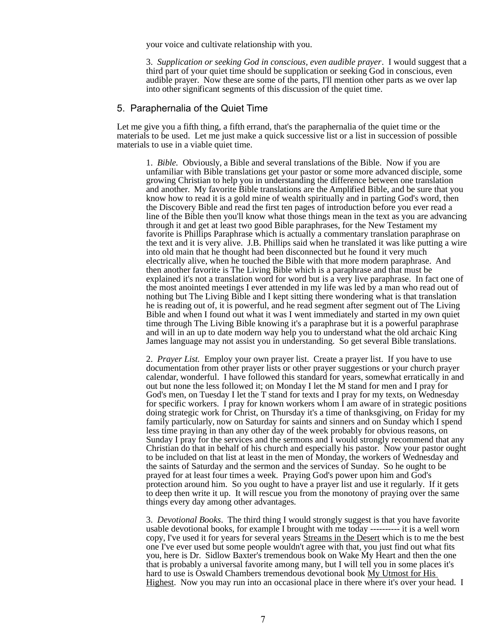your voice and cultivate relationship with you.

3. *Supplication or seeking God in conscious, even audible prayer*. I would suggest that a third part of your quiet time should be supplication or seeking God in conscious, even audible prayer. Now these are some of the parts, I'll mention other parts as we over lap into other significant segments of this discussion of the quiet time.

### 5. Paraphernalia of the Quiet Time

Let me give you a fifth thing, a fifth errand, that's the paraphernalia of the quiet time or the materials to be used. Let me just make a quick successive list or a list in succession of possible materials to use in a viable quiet time.

1. *Bible.* Obviously, a Bible and several translations of the Bible. Now if you are unfamiliar with Bible translations get your pastor or some more advanced disciple, some growing Christian to help you in understanding the difference between one translation and another. My favorite Bible translations are the Amplified Bible, and be sure that you know how to read it is a gold mine of wealth spiritually and in parting God's word, then the Discovery Bible and read the first ten pages of introduction before you ever read a line of the Bible then you'll know what those things mean in the text as you are advancing through it and get at least two good Bible paraphrases, for the New Testament my favorite is Phillips Paraphrase which is actually a commentary translation paraphrase on the text and it is very alive. J.B. Phillips said when he translated it was like putting a wire into old main that he thought had been disconnected but he found it very much electrically alive, when he touched the Bible with that more modern paraphrase. And then another favorite is The Living Bible which is a paraphrase and that must be explained it's not a translation word for word but is a very live paraphrase. In fact one of the most anointed meetings I ever attended in my life was led by a man who read out of nothing but The Living Bible and I kept sitting there wondering what is that translation he is reading out of, it is powerful, and he read segment after segment out of The Living Bible and when I found out what it was I went immediately and started in my own quiet time through The Living Bible knowing it's a paraphrase but it is a powerful paraphrase and will in an up to date modern way help you to understand what the old archaic King James language may not assist you in understanding. So get several Bible translations.

2. *Prayer List.* Employ your own prayer list. Create a prayer list. If you have to use documentation from other prayer lists or other prayer suggestions or your church prayer calendar, wonderful. I have followed this standard for years, somewhat erratically in and out but none the less followed it; on Monday I let the M stand for men and I pray for God's men, on Tuesday I let the T stand for texts and I pray for my texts, on Wednesday for specific workers. I pray for known workers whom  $\overline{I}$  am aware of in strategic positions doing strategic work for Christ, on Thursday it's a time of thanksgiving, on Friday for my family particularly, now on Saturday for saints and sinners and on Sunday which I spend less time praying in than any other day of the week probably for obvious reasons, on Sunday I pray for the services and the sermons and  $\tilde{I}$  would strongly recommend that any Christian do that in behalf of his church and especially his pastor. Now your pastor ought to be included on that list at least in the men of Monday, the workers of Wednesday and the saints of Saturday and the sermon and the services of Sunday. So he ought to be prayed for at least four times a week. Praying God's power upon him and God's protection around him. So you ought to have a prayer list and use it regularly. If it gets to deep then write it up. It will rescue you from the monotony of praying over the same things every day among other advantages.

3. *Devotional Books*. The third thing I would strongly suggest is that you have favorite usable devotional books, for example I brought with me today ---------- it is a well worn copy, I've used it for years for several years Streams in the Desert which is to me the best one I've ever used but some people wouldn't agree with that, you just find out what fits you, here is Dr. Sidlow Baxter's tremendous book on Wake My Heart and then the one that is probably a universal favorite among many, but I will tell you in some places it's hard to use is Oswald Chambers tremendous devotional book My Utmost for His Highest. Now you may run into an occasional place in there where it's over your head. I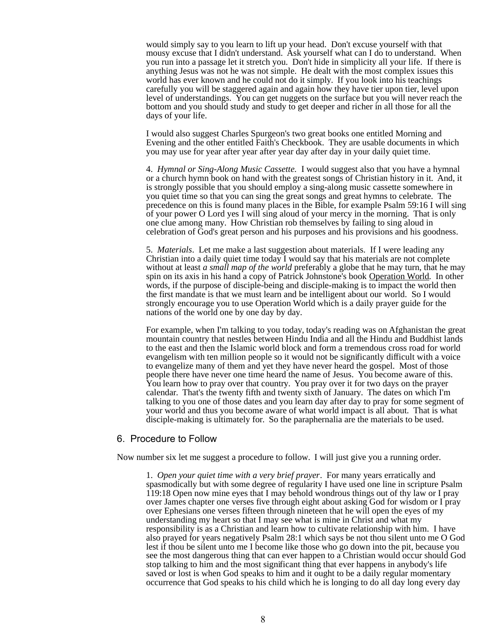would simply say to you learn to lift up your head. Don't excuse yourself with that mousy excuse that I didn't understand. Ask yourself what can I do to understand. When you run into a passage let it stretch you. Don't hide in simplicity all your life. If there is anything Jesus was not he was not simple. He dealt with the most complex issues this world has ever known and he could not do it simply. If you look into his teachings carefully you will be staggered again and again how they have tier upon tier, level upon level of understandings. You can get nuggets on the surface but you will never reach the bottom and you should study and study to get deeper and richer in all those for all the days of your life.

I would also suggest Charles Spurgeon's two great books one entitled Morning and Evening and the other entitled Faith's Checkbook. They are usable documents in which you may use for year after year after year day after day in your daily quiet time.

4. *Hymnal or Sing-Along Music Cassette.* I would suggest also that you have a hymnal or a church hymn book on hand with the greatest songs of Christian history in it. And, it is strongly possible that you should employ a sing-along music cassette somewhere in you quiet time so that you can sing the great songs and great hymns to celebrate. The precedence on this is found many places in the Bible, for example Psalm 59:16 I will sing of your power O Lord yes I will sing aloud of your mercy in the morning. That is only one clue among many. How Christian rob themselves by failing to sing aloud in celebration of God's great person and his purposes and his provisions and his goodness.

5. *Materials*. Let me make a last suggestion about materials. If I were leading any Christian into a daily quiet time today I would say that his materials are not complete without at least *a small map of the world* preferably a globe that he may turn, that he may spin on its axis in his hand a copy of Patrick Johnstone's book Operation World. In other words, if the purpose of disciple-being and disciple-making is to impact the world then the first mandate is that we must learn and be intelligent about our world. So I would strongly encourage you to use Operation World which is a daily prayer guide for the nations of the world one by one day by day.

For example, when I'm talking to you today, today's reading was on Afghanistan the great mountain country that nestles between Hindu India and all the Hindu and Buddhist lands to the east and then the Islamic world block and form a tremendous cross road for world evangelism with ten million people so it would not be significantly difficult with a voice to evangelize many of them and yet they have never heard the gospel. Most of those people there have never one time heard the name of Jesus. You become aware of this. You learn how to pray over that country. You pray over it for two days on the prayer calendar. That's the twenty fifth and twenty sixth of January. The dates on which I'm talking to you one of those dates and you learn day after day to pray for some segment of your world and thus you become aware of what world impact is all about. That is what disciple-making is ultimately for. So the paraphernalia are the materials to be used.

#### 6. Procedure to Follow

Now number six let me suggest a procedure to follow. I will just give you a running order.

1. *Open your quiet time with a very brief prayer*. For many years erratically and spasmodically but with some degree of regularity I have used one line in scripture Psalm 119:18 Open now mine eyes that I may behold wondrous things out of thy law or I pray over James chapter one verses five through eight about asking God for wisdom or I pray over Ephesians one verses fifteen through nineteen that he will open the eyes of my understanding my heart so that I may see what is mine in Christ and what my responsibility is as a Christian and learn how to cultivate relationship with him. I have also prayed for years negatively Psalm 28:1 which says be not thou silent unto me O God lest if thou be silent unto me I become like those who go down into the pit, because you see the most dangerous thing that can ever happen to a Christian would occur should God stop talking to him and the most significant thing that ever happens in anybody's life saved or lost is when God speaks to him and it ought to be a daily regular momentary occurrence that God speaks to his child which he is longing to do all day long every day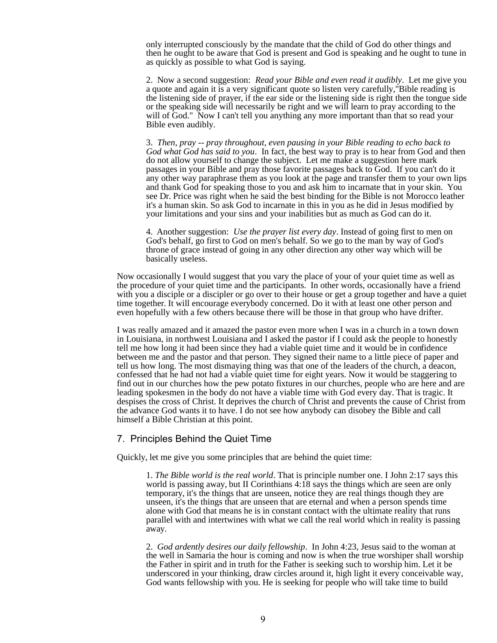only interrupted consciously by the mandate that the child of God do other things and then he ought to be aware that God is present and God is speaking and he ought to tune in as quickly as possible to what God is saying.

2. Now a second suggestion: *Read your Bible and even read it audibly*. Let me give you a quote and again it is a very significant quote so listen very carefully,"Bible reading is the listening side of prayer, if the ear side or the listening side is right then the tongue side or the speaking side will necessarily be right and we will learn to pray according to the will of God." Now I can't tell you anything any more important than that so read your Bible even audibly.

3. *Then, pray -- pray throughout, even pausing in your Bible reading to echo back to God what God has said to you*. In fact, the best way to pray is to hear from God and then do not allow yourself to change the subject. Let me make a suggestion here mark passages in your Bible and pray those favorite passages back to God. If you can't do it any other way paraphrase them as you look at the page and transfer them to your own lips and thank God for speaking those to you and ask him to incarnate that in your skin. You see Dr. Price was right when he said the best binding for the Bible is not Morocco leather it's a human skin. So ask God to incarnate in this in you as he did in Jesus modified by your limitations and your sins and your inabilities but as much as God can do it.

4. Another suggestion: *Use the prayer list every day*. Instead of going first to men on God's behalf, go first to God on men's behalf. So we go to the man by way of God's throne of grace instead of going in any other direction any other way which will be basically useless.

Now occasionally I would suggest that you vary the place of your of your quiet time as well as the procedure of your quiet time and the participants. In other words, occasionally have a friend with you a disciple or a discipler or go over to their house or get a group together and have a quiet time together. It will encourage everybody concerned. Do it with at least one other person and even hopefully with a few others because there will be those in that group who have drifter.

I was really amazed and it amazed the pastor even more when I was in a church in a town down in Louisiana, in northwest Louisiana and I asked the pastor if I could ask the people to honestly tell me how long it had been since they had a viable quiet time and it would be in confidence between me and the pastor and that person. They signed their name to a little piece of paper and tell us how long. The most dismaying thing was that one of the leaders of the church, a deacon, confessed that he had not had a viable quiet time for eight years. Now it would be staggering to find out in our churches how the pew potato fixtures in our churches, people who are here and are leading spokesmen in the body do not have a viable time with God every day. That is tragic. It despises the cross of Christ. It deprives the church of Christ and prevents the cause of Christ from the advance God wants it to have. I do not see how anybody can disobey the Bible and call himself a Bible Christian at this point.

## 7. Principles Behind the Quiet Time

Quickly, let me give you some principles that are behind the quiet time:

1. *The Bible world is the real world*. That is principle number one. I John 2:17 says this world is passing away, but II Corinthians 4:18 says the things which are seen are only temporary, it's the things that are unseen, notice they are real things though they are unseen, it's the things that are unseen that are eternal and when a person spends time alone with God that means he is in constant contact with the ultimate reality that runs parallel with and intertwines with what we call the real world which in reality is passing away.

2. *God ardently desires our daily fellowship*. In John 4:23, Jesus said to the woman at the well in Samaria the hour is coming and now is when the true worshiper shall worship the Father in spirit and in truth for the Father is seeking such to worship him. Let it be underscored in your thinking, draw circles around it, high light it every conceivable way, God wants fellowship with you. He is seeking for people who will take time to build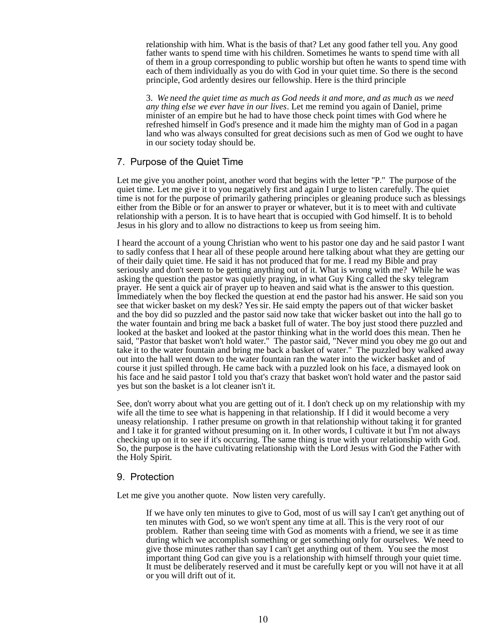relationship with him. What is the basis of that? Let any good father tell you. Any good father wants to spend time with his children. Sometimes he wants to spend time with all of them in a group corresponding to public worship but often he wants to spend time with each of them individually as you do with God in your quiet time. So there is the second principle, God ardently desires our fellowship. Here is the third principle

3. *We need the quiet time as much as God needs it and more, and as much as we need any thing else we ever have in our lives*. Let me remind you again of Daniel, prime minister of an empire but he had to have those check point times with God where he refreshed himself in God's presence and it made him the mighty man of God in a pagan land who was always consulted for great decisions such as men of God we ought to have in our society today should be.

## 7. Purpose of the Quiet Time

Let me give you another point, another word that begins with the letter "P." The purpose of the quiet time. Let me give it to you negatively first and again I urge to listen carefully. The quiet time is not for the purpose of primarily gathering principles or gleaning produce such as blessings either from the Bible or for an answer to prayer or whatever, but it is to meet with and cultivate relationship with a person. It is to have heart that is occupied with God himself. It is to behold Jesus in his glory and to allow no distractions to keep us from seeing him.

I heard the account of a young Christian who went to his pastor one day and he said pastor I want to sadly confess that I hear all of these people around here talking about what they are getting our of their daily quiet time. He said it has not produced that for me. I read my Bible and pray seriously and don't seem to be getting anything out of it. What is wrong with me? While he was asking the question the pastor was quietly praying, in what Guy King called the sky telegram prayer. He sent a quick air of prayer up to heaven and said what is the answer to this question. Immediately when the boy flecked the question at end the pastor had his answer. He said son you see that wicker basket on my desk? Yes sir. He said empty the papers out of that wicker basket and the boy did so puzzled and the pastor said now take that wicker basket out into the hall go to the water fountain and bring me back a basket full of water. The boy just stood there puzzled and looked at the basket and looked at the pastor thinking what in the world does this mean. Then he said, "Pastor that basket won't hold water." The pastor said, "Never mind you obey me go out and take it to the water fountain and bring me back a basket of water." The puzzled boy walked away out into the hall went down to the water fountain ran the water into the wicker basket and of course it just spilled through. He came back with a puzzled look on his face, a dismayed look on his face and he said pastor I told you that's crazy that basket won't hold water and the pastor said yes but son the basket is a lot cleaner isn't it.

See, don't worry about what you are getting out of it. I don't check up on my relationship with my wife all the time to see what is happening in that relationship. If I did it would become a very uneasy relationship. I rather presume on growth in that relationship without taking it for granted and I take it for granted without presuming on it. In other words, I cultivate it but I'm not always checking up on it to see if it's occurring. The same thing is true with your relationship with God. So, the purpose is the have cultivating relationship with the Lord Jesus with God the Father with the Holy Spirit.

#### 9. Protection

Let me give you another quote. Now listen very carefully.

If we have only ten minutes to give to God, most of us will say I can't get anything out of ten minutes with God, so we won't spent any time at all. This is the very root of our problem. Rather than seeing time with God as moments with a friend, we see it as time during which we accomplish something or get something only for ourselves. We need to give those minutes rather than say I can't get anything out of them. You see the most important thing God can give you is a relationship with himself through your quiet time. It must be deliberately reserved and it must be carefully kept or you will not have it at all or you will drift out of it.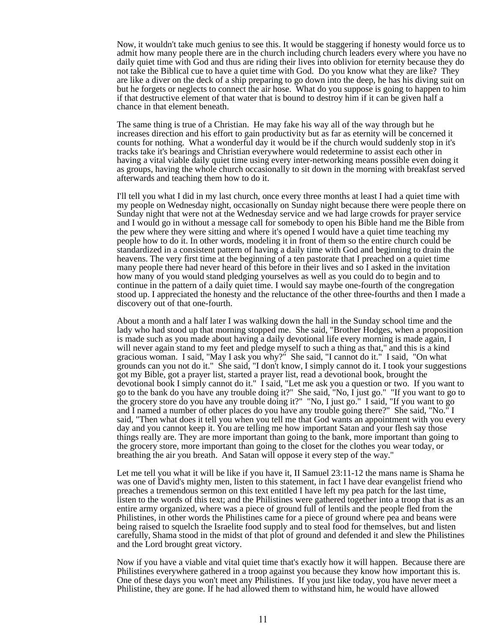Now, it wouldn't take much genius to see this. It would be staggering if honesty would force us to admit how many people there are in the church including church leaders every where you have no daily quiet time with God and thus are riding their lives into oblivion for eternity because they do not take the Biblical cue to have a quiet time with God. Do you know what they are like? They are like a diver on the deck of a ship preparing to go down into the deep, he has his diving suit on but he forgets or neglects to connect the air hose. What do you suppose is going to happen to him if that destructive element of that water that is bound to destroy him if it can be given half a chance in that element beneath.

The same thing is true of a Christian. He may fake his way all of the way through but he increases direction and his effort to gain productivity but as far as eternity will be concerned it counts for nothing. What a wonderful day it would be if the church would suddenly stop in it's tracks take it's bearings and Christian everywhere would redetermine to assist each other in having a vital viable daily quiet time using every inter-networking means possible even doing it as groups, having the whole church occasionally to sit down in the morning with breakfast served afterwards and teaching them how to do it.

I'll tell you what I did in my last church, once every three months at least I had a quiet time with my people on Wednesday night, occasionally on Sunday night because there were people there on Sunday night that were not at the Wednesday service and we had large crowds for prayer service and I would go in without a message call for somebody to open his Bible hand me the Bible from the pew where they were sitting and where it's opened I would have a quiet time teaching my people how to do it. In other words, modeling it in front of them so the entire church could be standardized in a consistent pattern of having a daily time with God and beginning to drain the heavens. The very first time at the beginning of a ten pastorate that I preached on a quiet time many people there had never heard of this before in their lives and so I asked in the invitation how many of you would stand pledging yourselves as well as you could do to begin and to continue in the pattern of a daily quiet time. I would say maybe one-fourth of the congregation stood up. I appreciated the honesty and the reluctance of the other three-fourths and then I made a discovery out of that one-fourth.

About a month and a half later I was walking down the hall in the Sunday school time and the lady who had stood up that morning stopped me. She said, "Brother Hodges, when a proposition is made such as you made about having a daily devotional life every morning is made again, I will never again stand to my feet and pledge myself to such a thing as that," and this is a kind gracious woman. I said, "May I ask you why?" She said, "I cannot do it." I said, "On what grounds can you not do it." She said, "I don't know, I simply cannot do it. I took your suggestions got my Bible, got a prayer list, started a prayer list, read a devotional book, brought the devotional book I simply cannot do it." I said, "Let me ask you a question or two. If you want to go to the bank do you have any trouble doing it?" She said, "No, I just go." "If you want to go to the grocery store do you have any trouble doing it?" "No, I just go." I said, "If you want to go and I named a number of other places do you have any trouble going there?" She said, "No." I said, "Then what does it tell you when you tell me that God wants an appointment with you every day and you cannot keep it. You are telling me how important Satan and your flesh say those things really are. They are more important than going to the bank, more important than going to the grocery store, more important than going to the closet for the clothes you wear today, or breathing the air you breath. And Satan will oppose it every step of the way."

Let me tell you what it will be like if you have it, II Samuel 23:11-12 the mans name is Shama he was one of David's mighty men, listen to this statement, in fact I have dear evangelist friend who preaches a tremendous sermon on this text entitled I have left my pea patch for the last time, listen to the words of this text; and the Philistines were gathered together into a troop that is as an entire army organized, where was a piece of ground full of lentils and the people fled from the Philistines, in other words the Philistines came for a piece of ground where pea and beans were being raised to squelch the Israelite food supply and to steal food for themselves, but and listen carefully, Shama stood in the midst of that plot of ground and defended it and slew the Philistines and the Lord brought great victory.

Now if you have a viable and vital quiet time that's exactly how it will happen. Because there are Philistines everywhere gathered in a troop against you because they know how important this is. One of these days you won't meet any Philistines. If you just like today, you have never meet a Philistine, they are gone. If he had allowed them to withstand him, he would have allowed